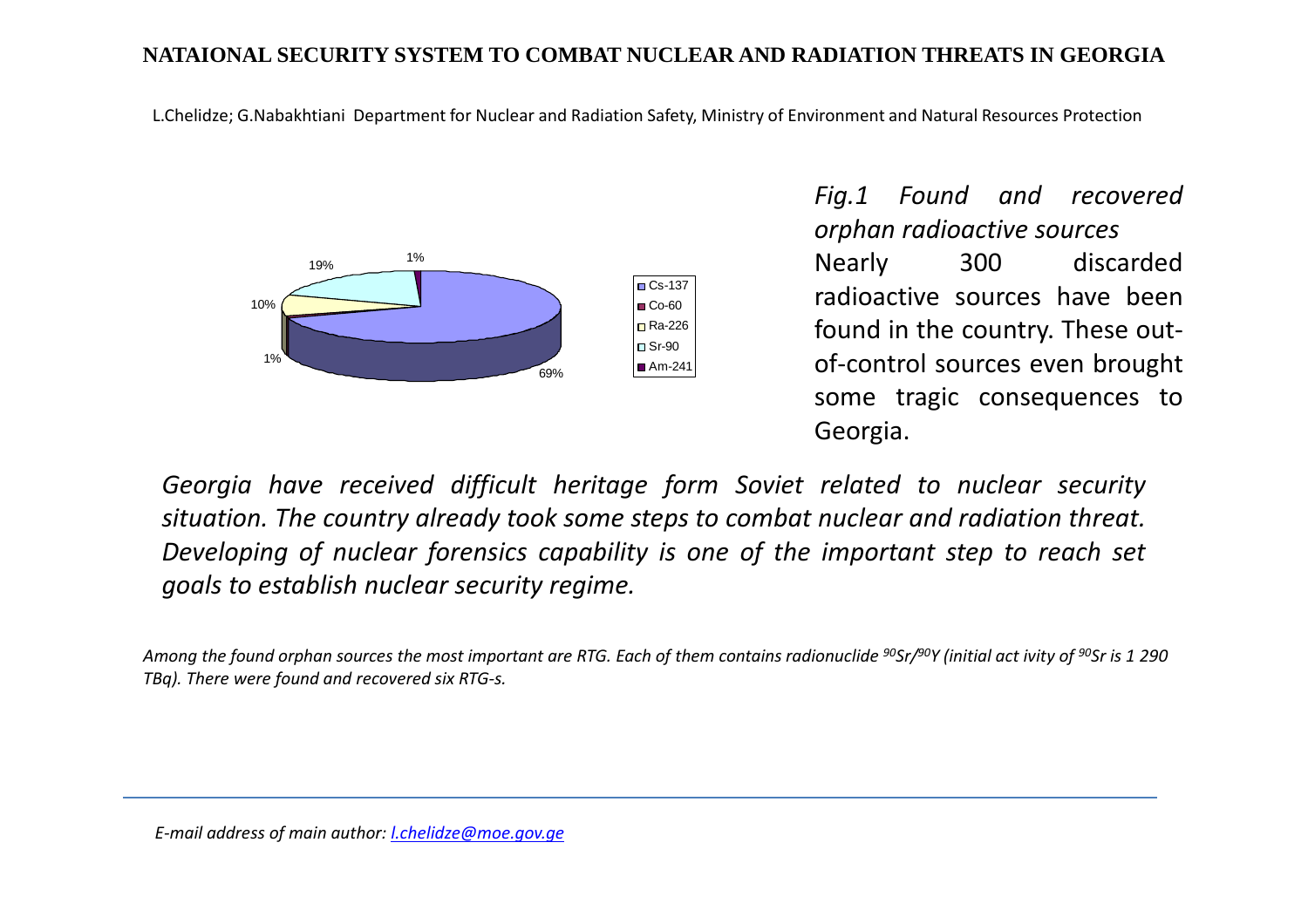## **NATAIONAL SECURITY SYSTEM TO COMBAT NUCLEAR AND RADIATION THREATS IN GEORGIA**

L.Chelidze; G.Nabakhtiani Department for Nuclear and Radiation Safety, Ministry of Environment and Natural Resources Protection



*Fig.1 Found and recoveredorphan radioactive sources* Nearly <sup>300</sup> discarded radioactive sources have been found in the country. These outof-control sources even brought some tragic consequences toGeorgia.

Georgia have received difficult heritage form Soviet related to nuclear security situation. The country already took some steps to combat nuclear and radiation threat. Developing of nuclear forensics capability is one of the important step to reach set *goals to establish nuclear security regime.*

Among the found orphan sources the most important are RTG. Each of them contains radionuclide <sup>90</sup>Sr/<sup>90</sup>Y (initial act ivity of <sup>90</sup>Sr is 1 290 *TBq). There were found and recovered six RTG-s.*